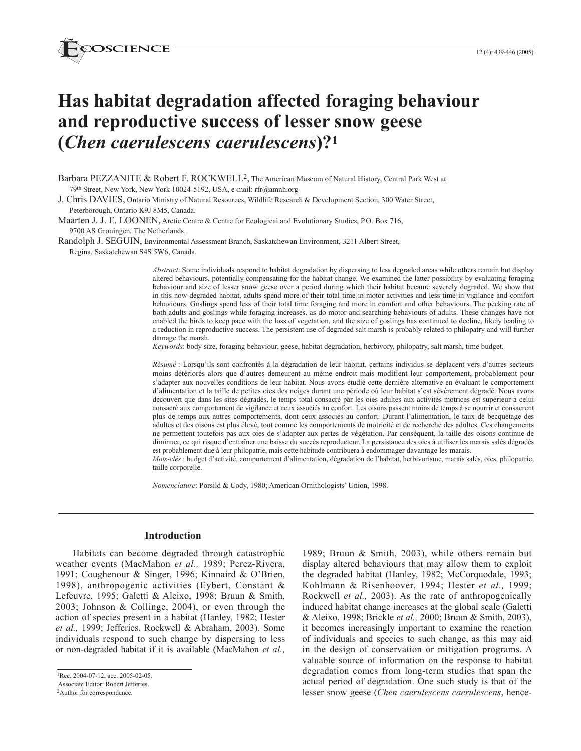

# **Has habitat degradation affected foraging behaviour and reproductive success of lesser snow geese (***Chen caerulescens caerulescens***)?1**

Barbara PEZZANITE & Robert F. ROCKWELL<sup>2</sup>, The American Museum of Natural History, Central Park West at 79th Street, New York, New York 10024-5192, USA, e-mail: rfr@amnh.org

J. Chris DAVIES, Ontario Ministry of Natural Resources, Wildlife Research & Development Section, 300 Water Street, Peterborough, Ontario K9J 8M5, Canada.

Maarten J. J. E. LOONEN, Arctic Centre & Centre for Ecological and Evolutionary Studies, P.O. Box 716, 9700 AS Groningen, The Netherlands.

Randolph J. SEGUIN, Environmental Assessment Branch, Saskatchewan Environment, 3211 Albert Street, Regina, Saskatchewan S4S 5W6, Canada.

> *Abstract*: Some individuals respond to habitat degradation by dispersing to less degraded areas while others remain but display altered behaviours, potentially compensating for the habitat change. We examined the latter possibility by evaluating foraging behaviour and size of lesser snow geese over a period during which their habitat became severely degraded. We show that in this now-degraded habitat, adults spend more of their total time in motor activities and less time in vigilance and comfort behaviours. Goslings spend less of their total time foraging and more in comfort and other behaviours. The pecking rate of both adults and goslings while foraging increases, as do motor and searching behaviours of adults. These changes have not enabled the birds to keep pace with the loss of vegetation, and the size of goslings has continued to decline, likely leading to a reduction in reproductive success. The persistent use of degraded salt marsh is probably related to philopatry and will further damage the marsh.

*Keywords*: body size, foraging behaviour, geese, habitat degradation, herbivory, philopatry, salt marsh, time budget.

*Résumé* : Lorsqu'ils sont confrontés à la dégradation de leur habitat, certains individus se déplacent vers d'autres secteurs moins détériorés alors que d'autres demeurent au même endroit mais modifient leur comportement, probablement pour s'adapter aux nouvelles conditions de leur habitat. Nous avons étudié cette dernière alternative en évaluant le comportement d'alimentation et la taille de petites oies des neiges durant une période où leur habitat s'est sévèrement dégradé. Nous avons découvert que dans les sites dégradés, le temps total consacré par les oies adultes aux activités motrices est supérieur à celui consacré aux comportement de vigilance et ceux associés au confort. Les oisons passent moins de temps à se nourrir et consacrent plus de temps aux autres comportements, dont ceux associés au confort. Durant l'alimentation, le taux de becquetage des adultes et des oisons est plus élevé, tout comme les comportements de motricité et de recherche des adultes. Ces changements ne permettent toutefois pas aux oies de s'adapter aux pertes de végétation. Par conséquent, la taille des oisons continue de diminuer, ce qui risque d'entraîner une baisse du succès reproducteur. La persistance des oies à utiliser les marais salés dégradés est probablement due à leur philopatrie, mais cette habitude contribuera à endommager davantage les marais.

*Mots-clés* : budget d'activité, comportement d'alimentation, dégradation de l'habitat, herbivorisme, marais salés, oies, philopatrie, taille corporelle.

*Nomenclature*: Porsild & Cody, 1980; American Ornithologists' Union, 1998.

## **Introduction**

Habitats can become degraded through catastrophic weather events (MacMahon *et al.,* 1989; Perez-Rivera, 1991; Coughenour & Singer, 1996; Kinnaird & O'Brien, 1998), anthropogenic activities (Eybert, Constant & Lefeuvre, 1995; Galetti & Aleixo, 1998; Bruun & Smith, 2003; Johnson & Collinge, 2004), or even through the action of species present in a habitat (Hanley, 1982; Hester *et al.,* 1999; Jefferies, Rockwell & Abraham, 2003). Some individuals respond to such change by dispersing to less or non-degraded habitat if it is available (MacMahon *et al.,*

1Rec. 2004-07-12; acc. 2005-02-05.

1989; Bruun & Smith, 2003), while others remain but display altered behaviours that may allow them to exploit the degraded habitat (Hanley, 1982; McCorquodale, 1993; Kohlmann & Risenhoover, 1994; Hester *et al.,* 1999; Rockwell *et al.,* 2003). As the rate of anthropogenically induced habitat change increases at the global scale (Galetti & Aleixo, 1998; Brickle *et al.,* 2000; Bruun & Smith, 2003), it becomes increasingly important to examine the reaction of individuals and species to such change, as this may aid in the design of conservation or mitigation programs. A valuable source of information on the response to habitat degradation comes from long-term studies that span the actual period of degradation. One such study is that of the lesser snow geese (*Chen caerulescens caerulescens*, hence-

Associate Editor: Robert Jefferies.

<sup>2</sup>Author for correspondence.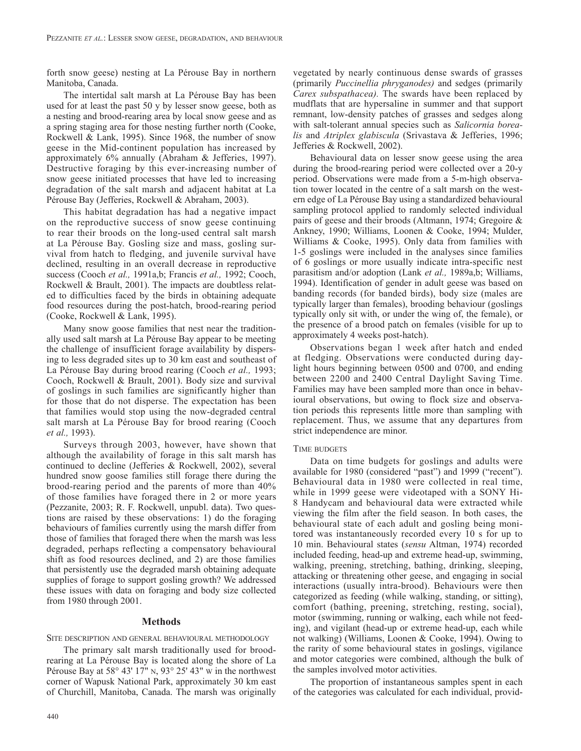forth snow geese) nesting at La Pérouse Bay in northern Manitoba, Canada.

The intertidal salt marsh at La Pérouse Bay has been used for at least the past 50 y by lesser snow geese, both as a nesting and brood-rearing area by local snow geese and as a spring staging area for those nesting further north (Cooke, Rockwell & Lank, 1995). Since 1968, the number of snow geese in the Mid-continent population has increased by approximately 6% annually (Abraham & Jefferies, 1997). Destructive foraging by this ever-increasing number of snow geese initiated processes that have led to increasing degradation of the salt marsh and adjacent habitat at La Pérouse Bay (Jefferies, Rockwell & Abraham, 2003).

This habitat degradation has had a negative impact on the reproductive success of snow geese continuing to rear their broods on the long-used central salt marsh at La Pérouse Bay. Gosling size and mass, gosling survival from hatch to fledging, and juvenile survival have declined, resulting in an overall decrease in reproductive success (Cooch *et al.,* 1991a,b; Francis *et al.,* 1992; Cooch, Rockwell & Brault, 2001). The impacts are doubtless related to difficulties faced by the birds in obtaining adequate food resources during the post-hatch, brood-rearing period (Cooke, Rockwell & Lank, 1995).

Many snow goose families that nest near the traditionally used salt marsh at La Pérouse Bay appear to be meeting the challenge of insufficient forage availability by dispersing to less degraded sites up to 30 km east and southeast of La Pérouse Bay during brood rearing (Cooch *et al.,* 1993; Cooch, Rockwell & Brault, 2001). Body size and survival of goslings in such families are significantly higher than for those that do not disperse. The expectation has been that families would stop using the now-degraded central salt marsh at La Pérouse Bay for brood rearing (Cooch *et al.,* 1993).

Surveys through 2003, however, have shown that although the availability of forage in this salt marsh has continued to decline (Jefferies & Rockwell, 2002), several hundred snow goose families still forage there during the brood-rearing period and the parents of more than 40% of those families have foraged there in 2 or more years (Pezzanite, 2003; R. F. Rockwell, unpubl. data). Two questions are raised by these observations: 1) do the foraging behaviours of families currently using the marsh differ from those of families that foraged there when the marsh was less degraded, perhaps reflecting a compensatory behavioural shift as food resources declined, and 2) are those families that persistently use the degraded marsh obtaining adequate supplies of forage to support gosling growth? We addressed these issues with data on foraging and body size collected from 1980 through 2001.

# **Methods**

Site description and general behavioural methodology

The primary salt marsh traditionally used for broodrearing at La Pérouse Bay is located along the shore of La Pérouse Bay at 58° 43' 17" n, 93° 25' 43" w in the northwest corner of Wapusk National Park, approximately 30 km east of Churchill, Manitoba, Canada. The marsh was originally vegetated by nearly continuous dense swards of grasses (primarily *Puccinellia phryganodes)* and sedges (primarily *Carex subspathacea).* The swards have been replaced by mudflats that are hypersaline in summer and that support remnant, low-density patches of grasses and sedges along with salt-tolerant annual species such as *Salicornia borealis* and *Atriplex glabiscula* (Srivastava & Jefferies, 1996; Jefferies & Rockwell, 2002).

Behavioural data on lesser snow geese using the area during the brood-rearing period were collected over a 20-y period. Observations were made from a 5-m-high observation tower located in the centre of a salt marsh on the western edge of La Pérouse Bay using a standardized behavioural sampling protocol applied to randomly selected individual pairs of geese and their broods (Altmann, 1974; Gregoire & Ankney, 1990; Williams, Loonen & Cooke, 1994; Mulder, Williams & Cooke, 1995). Only data from families with 1-5 goslings were included in the analyses since families of 6 goslings or more usually indicate intra-specific nest parasitism and/or adoption (Lank *et al.,* 1989a,b; Williams, 1994). Identification of gender in adult geese was based on banding records (for banded birds), body size (males are typically larger than females), brooding behaviour (goslings typically only sit with, or under the wing of, the female), or the presence of a brood patch on females (visible for up to approximately 4 weeks post-hatch).

Observations began 1 week after hatch and ended at fledging. Observations were conducted during daylight hours beginning between 0500 and 0700, and ending between 2200 and 2400 Central Daylight Saving Time. Families may have been sampled more than once in behavioural observations, but owing to flock size and observation periods this represents little more than sampling with replacement. Thus, we assume that any departures from strict independence are minor.

## TIME BUDGETS

Data on time budgets for goslings and adults were available for 1980 (considered "past") and 1999 ("recent"). Behavioural data in 1980 were collected in real time, while in 1999 geese were videotaped with a SONY Hi-8 Handycam and behavioural data were extracted while viewing the film after the field season. In both cases, the behavioural state of each adult and gosling being monitored was instantaneously recorded every 10 s for up to 10 min. Behavioural states (*sensu* Altman, 1974) recorded included feeding, head-up and extreme head-up, swimming, walking, preening, stretching, bathing, drinking, sleeping, attacking or threatening other geese, and engaging in social interactions (usually intra-brood). Behaviours were then categorized as feeding (while walking, standing, or sitting), comfort (bathing, preening, stretching, resting, social), motor (swimming, running or walking, each while not feeding), and vigilant (head-up or extreme head-up, each while not walking) (Williams, Loonen & Cooke, 1994). Owing to the rarity of some behavioural states in goslings, vigilance and motor categories were combined, although the bulk of the samples involved motor activities.

The proportion of instantaneous samples spent in each of the categories was calculated for each individual, provid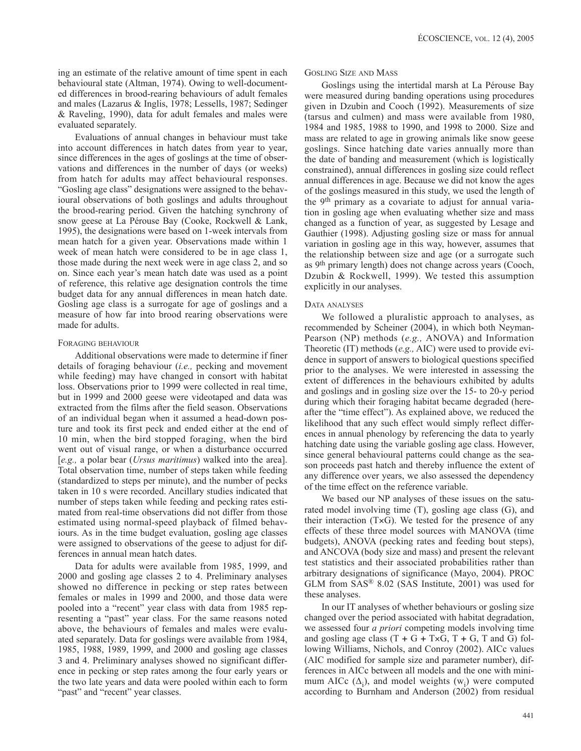ing an estimate of the relative amount of time spent in each behavioural state (Altman, 1974). Owing to well-documented differences in brood-rearing behaviours of adult females and males (Lazarus & Inglis, 1978; Lessells, 1987; Sedinger & Raveling, 1990), data for adult females and males were evaluated separately.

Evaluations of annual changes in behaviour must take into account differences in hatch dates from year to year, since differences in the ages of goslings at the time of observations and differences in the number of days (or weeks) from hatch for adults may affect behavioural responses. "Gosling age class" designations were assigned to the behavioural observations of both goslings and adults throughout the brood-rearing period. Given the hatching synchrony of snow geese at La Pérouse Bay (Cooke, Rockwell & Lank, 1995), the designations were based on 1-week intervals from mean hatch for a given year. Observations made within 1 week of mean hatch were considered to be in age class 1, those made during the next week were in age class 2, and so on. Since each year's mean hatch date was used as a point of reference, this relative age designation controls the time budget data for any annual differences in mean hatch date. Gosling age class is a surrogate for age of goslings and a measure of how far into brood rearing observations were made for adults.

# Foraging behaviour

Additional observations were made to determine if finer details of foraging behaviour (*i.e.,* pecking and movement while feeding) may have changed in consort with habitat loss. Observations prior to 1999 were collected in real time, but in 1999 and 2000 geese were videotaped and data was extracted from the films after the field season. Observations of an individual began when it assumed a head-down posture and took its first peck and ended either at the end of 10 min, when the bird stopped foraging, when the bird went out of visual range, or when a disturbance occurred [*e.g.,* a polar bear (*Ursus maritimus*) walked into the area]. Total observation time, number of steps taken while feeding (standardized to steps per minute), and the number of pecks taken in 10 s were recorded. Ancillary studies indicated that number of steps taken while feeding and pecking rates estimated from real-time observations did not differ from those estimated using normal-speed playback of filmed behaviours. As in the time budget evaluation, gosling age classes were assigned to observations of the geese to adjust for differences in annual mean hatch dates.

Data for adults were available from 1985, 1999, and 2000 and gosling age classes 2 to 4. Preliminary analyses showed no difference in pecking or step rates between females or males in 1999 and 2000, and those data were pooled into a "recent" year class with data from 1985 representing a "past" year class. For the same reasons noted above, the behaviours of females and males were evaluated separately. Data for goslings were available from 1984, 1985, 1988, 1989, 1999, and 2000 and gosling age classes 3 and 4. Preliminary analyses showed no significant difference in pecking or step rates among the four early years or the two late years and data were pooled within each to form "past" and "recent" year classes.

# Gosling Size and Mass

Goslings using the intertidal marsh at La Pérouse Bay were measured during banding operations using procedures given in Dzubin and Cooch (1992). Measurements of size (tarsus and culmen) and mass were available from 1980, 1984 and 1985, 1988 to 1990, and 1998 to 2000. Size and mass are related to age in growing animals like snow geese goslings. Since hatching date varies annually more than the date of banding and measurement (which is logistically constrained), annual differences in gosling size could reflect annual differences in age. Because we did not know the ages of the goslings measured in this study, we used the length of the 9th primary as a covariate to adjust for annual variation in gosling age when evaluating whether size and mass changed as a function of year, as suggested by Lesage and Gauthier (1998). Adjusting gosling size or mass for annual variation in gosling age in this way, however, assumes that the relationship between size and age (or a surrogate such as 9th primary length) does not change across years (Cooch, Dzubin & Rockwell, 1999). We tested this assumption explicitly in our analyses.

# DATA ANALYSES

We followed a pluralistic approach to analyses, as recommended by Scheiner (2004), in which both Neyman-Pearson (NP) methods (*e.g.,* ANOVA) and Information Theoretic (IT) methods (*e.g.,* AIC) were used to provide evidence in support of answers to biological questions specified prior to the analyses. We were interested in assessing the extent of differences in the behaviours exhibited by adults and goslings and in gosling size over the 15- to 20-y period during which their foraging habitat became degraded (hereafter the "time effect"). As explained above, we reduced the likelihood that any such effect would simply reflect differences in annual phenology by referencing the data to yearly hatching date using the variable gosling age class. However, since general behavioural patterns could change as the season proceeds past hatch and thereby influence the extent of any difference over years, we also assessed the dependency of the time effect on the reference variable.

We based our NP analyses of these issues on the saturated model involving time (T), gosling age class (G), and their interaction  $(T \times G)$ . We tested for the presence of any effects of these three model sources with MANOVA (time budgets), ANOVA (pecking rates and feeding bout steps), and ANCOVA (body size and mass) and present the relevant test statistics and their associated probabilities rather than arbitrary designations of significance (Mayo, 2004). PROC GLM from SAS® 8.02 (SAS Institute, 2001) was used for these analyses.

In our IT analyses of whether behaviours or gosling size changed over the period associated with habitat degradation, we assessed four *a priori* competing models involving time and gosling age class  $(T + G + TxG, T + G, T$  and G) following Williams, Nichols, and Conroy (2002). AICc values (AIC modified for sample size and parameter number), differences in AICc between all models and the one with minimum AICc  $(\Delta_i)$ , and model weights  $(w_i)$  were computed according to Burnham and Anderson (2002) from residual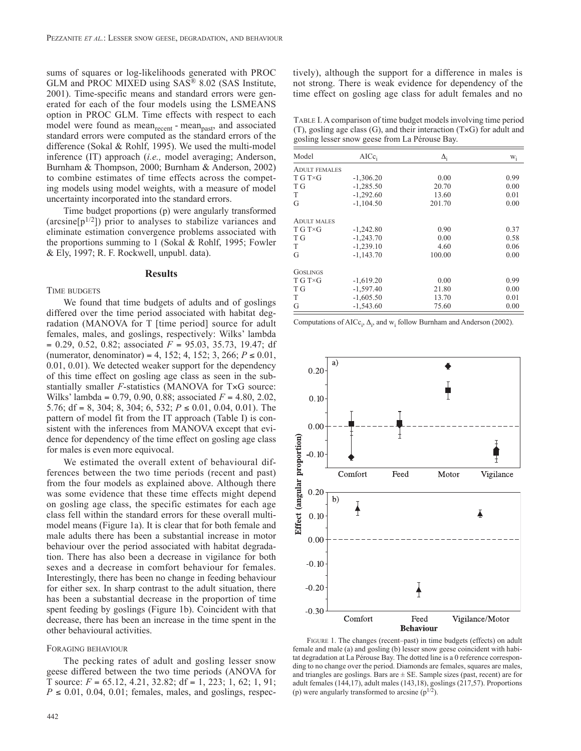sums of squares or log-likelihoods generated with PROC GLM and PROC MIXED using SAS® 8.02 (SAS Institute, 2001). Time-specific means and standard errors were generated for each of the four models using the LSMEANS option in PROC GLM. Time effects with respect to each model were found as mean<sub>recent</sub> - mean<sub>past</sub>, and associated standard errors were computed as the standard errors of the difference (Sokal & Rohlf, 1995). We used the multi-model inference (IT) approach (*i.e.,* model averaging; Anderson, Burnham & Thompson, 2000; Burnham & Anderson, 2002) to combine estimates of time effects across the competing models using model weights, with a measure of model uncertainty incorporated into the standard errors.

Time budget proportions (p) were angularly transformed  $(\arcsin[p^{1/2}])$  prior to analyses to stabilize variances and eliminate estimation convergence problems associated with the proportions summing to 1 (Sokal & Rohlf, 1995; Fowler & Ely, 1997; R. F. Rockwell, unpubl. data).

#### **Results**

## TIME BUDGETS

We found that time budgets of adults and of goslings differed over the time period associated with habitat degradation (MANOVA for T [time period] source for adult females, males, and goslings, respectively: Wilks' lambda = 0.29, 0.52, 0.82; associated *F* = 95.03, 35.73, 19.47; df (numerator, denominator) = 4, 152; 4, 152; 3, 266;  $P \le 0.01$ , 0.01, 0.01). We detected weaker support for the dependency of this time effect on gosling age class as seen in the substantially smaller *F*-statistics (MANOVA for T×G source: Wilks' lambda = 0.79, 0.90, 0.88; associated *F* = 4.80, 2.02, 5.76; df = 8, 304; 8, 304; 6, 532; *P* ≤ 0.01, 0.04, 0.01). The pattern of model fit from the IT approach (Table I) is consistent with the inferences from MANOVA except that evidence for dependency of the time effect on gosling age class for males is even more equivocal.

We estimated the overall extent of behavioural differences between the two time periods (recent and past) from the four models as explained above. Although there was some evidence that these time effects might depend on gosling age class, the specific estimates for each age class fell within the standard errors for these overall multimodel means (Figure 1a). It is clear that for both female and male adults there has been a substantial increase in motor behaviour over the period associated with habitat degradation. There has also been a decrease in vigilance for both sexes and a decrease in comfort behaviour for females. Interestingly, there has been no change in feeding behaviour for either sex. In sharp contrast to the adult situation, there has been a substantial decrease in the proportion of time spent feeding by goslings (Figure 1b). Coincident with that decrease, there has been an increase in the time spent in the other behavioural activities.

## Foraging behaviour

The pecking rates of adult and gosling lesser snow geese differed between the two time periods (ANOVA for T source: *F* = 65.12, 4.21, 32.82; df = 1, 223; 1, 62; 1, 91;  $P \le 0.01$ , 0.04, 0.01; females, males, and goslings, respectively), although the support for a difference in males is not strong. There is weak evidence for dependency of the time effect on gosling age class for adult females and no

Table I. A comparison of time budget models involving time period (T), gosling age class (G), and their interaction (T×G) for adult and gosling lesser snow geese from La Pérouse Bay.

| Model                | $AICc_i$    | $\Delta_i$ | $W_i$ |
|----------------------|-------------|------------|-------|
| <b>ADULT FEMALES</b> |             |            |       |
| $T G T \times G$     | $-1,306.20$ | 0.00       | 0.99  |
| T G                  | $-1,285.50$ | 20.70      | 0.00  |
| T                    | $-1,292.60$ | 13.60      | 0.01  |
| G                    | $-1,104.50$ | 201.70     | 0.00  |
| <b>ADULT MALES</b>   |             |            |       |
| $T G T \times G$     | $-1,242.80$ | 0.90       | 0.37  |
| T G                  | $-1,243.70$ | 0.00       | 0.58  |
| T                    | $-1,239.10$ | 4.60       | 0.06  |
| G                    | $-1,143.70$ | 100.00     | 0.00  |
| GOSLINGS             |             |            |       |
| $T G T \times G$     | $-1,619.20$ | 0.00       | 0.99  |
| T G                  | $-1,597.40$ | 21.80      | 0.00  |
| T                    | $-1,605.50$ | 13.70      | 0.01  |
| G                    | $-1,543.60$ | 75.60      | 0.00  |

Computations of AIC $c_i$ ,  $\Delta_i$ , and w<sub>i</sub> follow Burnham and Anderson (2002).



Figure 1. The changes (recent–past) in time budgets (effects) on adult female and male (a) and gosling (b) lesser snow geese coincident with habitat degradation at La Pérouse Bay. The dotted line is a 0 reference corresponding to no change over the period. Diamonds are females, squares are males, and triangles are goslings. Bars are  $\pm$  SE. Sample sizes (past, recent) are for adult females  $(144,17)$ , adult males  $(143,18)$ , goslings  $(217,57)$ . Proportions (p) were angularly transformed to arcsine  $(p^{1/2})$ .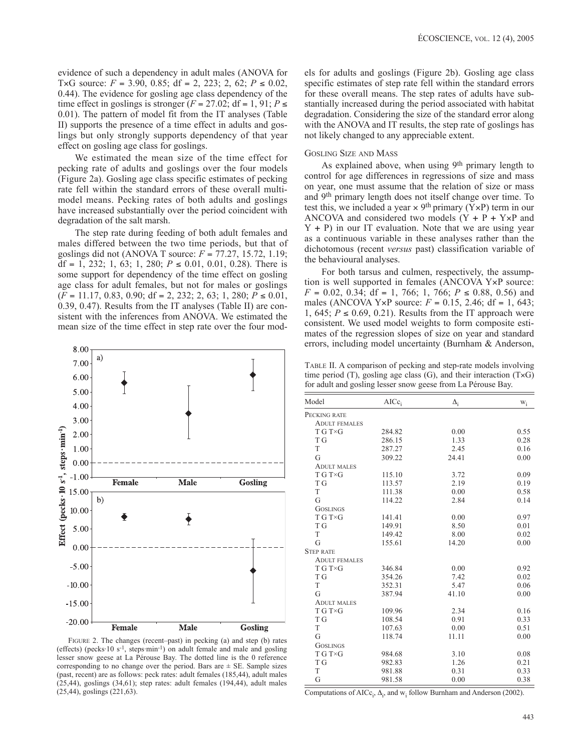evidence of such a dependency in adult males (ANOVA for T×G source: *F* = 3.90, 0.85; df = 2, 223; 2, 62; *P* ≤ 0.02, 0.44). The evidence for gosling age class dependency of the time effect in goslings is stronger ( $F = 27.02$ ; df = 1, 91;  $P \le$ 0.01). The pattern of model fit from the IT analyses (Table II) supports the presence of a time effect in adults and goslings but only strongly supports dependency of that year effect on gosling age class for goslings.

We estimated the mean size of the time effect for pecking rate of adults and goslings over the four models (Figure 2a). Gosling age class specific estimates of pecking rate fell within the standard errors of these overall multimodel means. Pecking rates of both adults and goslings have increased substantially over the period coincident with degradation of the salt marsh.

The step rate during feeding of both adult females and males differed between the two time periods, but that of goslings did not (ANOVA T source: *F* = 77.27, 15.72, 1.19; df = 1, 232; 1, 63; 1, 280;  $P \le 0.01$ , 0.01, 0.28). There is some support for dependency of the time effect on gosling age class for adult females, but not for males or goslings (*F* = 11.17, 0.83, 0.90; df = 2, 232; 2, 63; 1, 280; *P* ≤ 0.01, 0.39, 0.47). Results from the IT analyses (Table II) are consistent with the inferences from ANOVA. We estimated the mean size of the time effect in step rate over the four mod-



Figure 2. The changes (recent–past) in pecking (a) and step (b) rates (effects) (pecks $\cdot$ 10 s<sup>-1</sup>, steps·min<sup>-1</sup>) on adult female and male and gosling lesser snow geese at La Pérouse Bay. The dotted line is the 0 reference corresponding to no change over the period. Bars are  $\pm$  SE. Sample sizes (past, recent) are as follows: peck rates: adult females (185,44), adult males (25,44), goslings (34,61); step rates: adult females (194,44), adult males (25,44), goslings (221,63).

els for adults and goslings (Figure 2b). Gosling age class specific estimates of step rate fell within the standard errors for these overall means. The step rates of adults have substantially increased during the period associated with habitat degradation. Considering the size of the standard error along with the ANOVA and IT results, the step rate of goslings has not likely changed to any appreciable extent.

# Gosling Size and Mass

As explained above, when using 9<sup>th</sup> primary length to control for age differences in regressions of size and mass on year, one must assume that the relation of size or mass and 9th primary length does not itself change over time. To test this, we included a year  $\times$  9<sup>th</sup> primary (Y $\times$ P) term in our ANCOVA and considered two models  $(Y + P + Y \times P)$  and  $Y + P$ ) in our IT evaluation. Note that we are using year as a continuous variable in these analyses rather than the dichotomous (recent *versus* past) classification variable of the behavioural analyses.

For both tarsus and culmen, respectively, the assumption is well supported in females (ANCOVA Y×P source: *F* = 0.02, 0.34; df = 1, 766; 1, 766; *P* ≤ 0.88, 0.56) and males (ANCOVA Y×P source:  $F = 0.15$ , 2.46; df = 1, 643; 1, 645;  $P \le 0.69$ , 0.21). Results from the IT approach were consistent. We used model weights to form composite estimates of the regression slopes of size on year and standard errors, including model uncertainty (Burnham & Anderson,

Table II. A comparison of pecking and step-rate models involving time period  $(T)$ , gosling age class  $(G)$ , and their interaction  $(T \times G)$ for adult and gosling lesser snow geese from La Pérouse Bay.

| Model                | $AICc_i$ | $\Delta_i$ | $W_i$ |
|----------------------|----------|------------|-------|
| PECKING RATE         |          |            |       |
| <b>ADULT FEMALES</b> |          |            |       |
| T G T×G              | 284.82   | 0.00       | 0.55  |
| T G                  | 286.15   | 1.33       | 0.28  |
| T                    | 287.27   | 2.45       | 0.16  |
| G                    | 309.22   | 24.41      | 0.00  |
| <b>ADULT MALES</b>   |          |            |       |
| T G T×G              | 115.10   | 3.72       | 0.09  |
| T G                  | 113.57   | 2.19       | 0.19  |
| T                    | 111.38   | 0.00       | 0.58  |
| G                    | 114.22   | 2.84       | 0.14  |
| <b>GOSLINGS</b>      |          |            |       |
| T G T×G              | 141.41   | 0.00       | 0.97  |
| T G                  | 149.91   | 8.50       | 0.01  |
| T                    | 149.42   | 8.00       | 0.02  |
| G                    | 155.61   | 14.20      | 0.00  |
| <b>STEP RATE</b>     |          |            |       |
| <b>ADULT FEMALES</b> |          |            |       |
| T G T×G              | 346.84   | 0.00       | 0.92  |
| T G                  | 354.26   | 7.42       | 0.02  |
| T                    | 352.31   | 5.47       | 0.06  |
| G                    | 387.94   | 41.10      | 0.00  |
| <b>ADULT MALES</b>   |          |            |       |
| T G T×G              | 109.96   | 2.34       | 0.16  |
| T G                  | 108.54   | 0.91       | 0.33  |
| T                    | 107.63   | 0.00       | 0.51  |
| G                    | 118.74   | 11.11      | 0.00  |
| <b>GOSLINGS</b>      |          |            |       |
| T G T×G              | 984.68   | 3.10       | 0.08  |
| T G                  | 982.83   | 1.26       | 0.21  |
| T                    | 981.88   | 0.31       | 0.33  |
| G                    | 981.58   | 0.00       | 0.38  |

Computations of AIC $c_i$ ,  $\Delta_i$ , and  $w_i$  follow Burnham and Anderson (2002).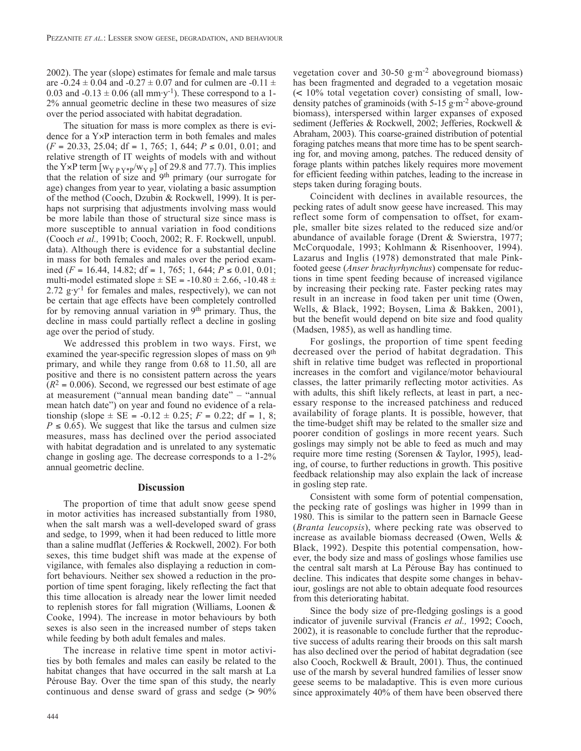2002). The year (slope) estimates for female and male tarsus are  $-0.24 \pm 0.04$  and  $-0.27 \pm 0.07$  and for culmen are  $-0.11 \pm 0.04$ 0.03 and -0.13  $\pm$  0.06 (all mm·y<sup>-1</sup>). These correspond to a 1-2% annual geometric decline in these two measures of size over the period associated with habitat degradation.

The situation for mass is more complex as there is evidence for a Y×P interaction term in both females and males (*F* = 20.33, 25.04; df = 1, 765; 1, 644; *P* ≤ 0.01, 0.01; and relative strength of IT weights of models with and without the Y×P term  $[w_{Y \, P \, Y^*P}/w_{Y \, P}]$  of 29.8 and 77.7). This implies that the relation of size and  $9<sup>th</sup>$  primary (our surrogate for age) changes from year to year, violating a basic assumption of the method (Cooch, Dzubin & Rockwell, 1999). It is perhaps not surprising that adjustments involving mass would be more labile than those of structural size since mass is more susceptible to annual variation in food conditions (Cooch *et al.,* 1991b; Cooch, 2002; R. F. Rockwell, unpubl. data). Although there is evidence for a substantial decline in mass for both females and males over the period examined (*F* = 16.44, 14.82; df = 1, 765; 1, 644; *P* ≤ 0.01, 0.01; multi-model estimated slope  $\pm$  SE = -10.80  $\pm$  2.66, -10.48  $\pm$  $2.72$  g·y<sup>-1</sup> for females and males, respectively), we can not be certain that age effects have been completely controlled for by removing annual variation in 9<sup>th</sup> primary. Thus, the decline in mass could partially reflect a decline in gosling age over the period of study.

We addressed this problem in two ways. First, we examined the year-specific regression slopes of mass on 9th primary, and while they range from 0.68 to 11.50, all are positive and there is no consistent pattern across the years  $(R^2 = 0.006)$ . Second, we regressed our best estimate of age at measurement ("annual mean banding date" – "annual mean hatch date") on year and found no evidence of a relationship (slope  $\pm$  SE = -0.12  $\pm$  0.25;  $F = 0.22$ ; df = 1, 8;  $P \le 0.65$ ). We suggest that like the tarsus and culmen size measures, mass has declined over the period associated with habitat degradation and is unrelated to any systematic change in gosling age. The decrease corresponds to a 1-2% annual geometric decline.

# **Discussion**

The proportion of time that adult snow geese spend in motor activities has increased substantially from 1980, when the salt marsh was a well-developed sward of grass and sedge, to 1999, when it had been reduced to little more than a saline mudflat (Jefferies & Rockwell, 2002). For both sexes, this time budget shift was made at the expense of vigilance, with females also displaying a reduction in comfort behaviours. Neither sex showed a reduction in the proportion of time spent foraging, likely reflecting the fact that this time allocation is already near the lower limit needed to replenish stores for fall migration (Williams, Loonen & Cooke, 1994). The increase in motor behaviours by both sexes is also seen in the increased number of steps taken while feeding by both adult females and males.

The increase in relative time spent in motor activities by both females and males can easily be related to the habitat changes that have occurred in the salt marsh at La Pérouse Bay. Over the time span of this study, the nearly continuous and dense sward of grass and sedge (> 90%

vegetation cover and 30-50 g·m-2 aboveground biomass) has been fragmented and degraded to a vegetation mosaic (< 10% total vegetation cover) consisting of small, lowdensity patches of graminoids (with 5-15 g·m-2 above-ground biomass), interspersed within larger expanses of exposed sediment (Jefferies & Rockwell, 2002; Jefferies, Rockwell & Abraham, 2003). This coarse-grained distribution of potential foraging patches means that more time has to be spent searching for, and moving among, patches. The reduced density of forage plants within patches likely requires more movement for efficient feeding within patches, leading to the increase in steps taken during foraging bouts.

Coincident with declines in available resources, the pecking rates of adult snow geese have increased. This may reflect some form of compensation to offset, for example, smaller bite sizes related to the reduced size and/or abundance of available forage (Drent & Swierstra, 1977; McCorquodale, 1993; Kohlmann & Risenhoover, 1994). Lazarus and Inglis (1978) demonstrated that male Pinkfooted geese (*Anser brachyrhynchus*) compensate for reductions in time spent feeding because of increased vigilance by increasing their pecking rate. Faster pecking rates may result in an increase in food taken per unit time (Owen, Wells, & Black, 1992; Boysen, Lima & Bakken, 2001), but the benefit would depend on bite size and food quality (Madsen, 1985), as well as handling time.

For goslings, the proportion of time spent feeding decreased over the period of habitat degradation. This shift in relative time budget was reflected in proportional increases in the comfort and vigilance/motor behavioural classes, the latter primarily reflecting motor activities. As with adults, this shift likely reflects, at least in part, a necessary response to the increased patchiness and reduced availability of forage plants. It is possible, however, that the time-budget shift may be related to the smaller size and poorer condition of goslings in more recent years. Such goslings may simply not be able to feed as much and may require more time resting (Sorensen & Taylor, 1995), leading, of course, to further reductions in growth. This positive feedback relationship may also explain the lack of increase in gosling step rate.

Consistent with some form of potential compensation, the pecking rate of goslings was higher in 1999 than in 1980. This is similar to the pattern seen in Barnacle Geese (*Branta leucopsis*), where pecking rate was observed to increase as available biomass decreased (Owen, Wells & Black, 1992). Despite this potential compensation, however, the body size and mass of goslings whose families use the central salt marsh at La Pérouse Bay has continued to decline. This indicates that despite some changes in behaviour, goslings are not able to obtain adequate food resources from this deteriorating habitat.

Since the body size of pre-fledging goslings is a good indicator of juvenile survival (Francis *et al.,* 1992; Cooch, 2002), it is reasonable to conclude further that the reproductive success of adults rearing their broods on this salt marsh has also declined over the period of habitat degradation (see also Cooch, Rockwell & Brault, 2001). Thus, the continued use of the marsh by several hundred families of lesser snow geese seems to be maladaptive. This is even more curious since approximately 40% of them have been observed there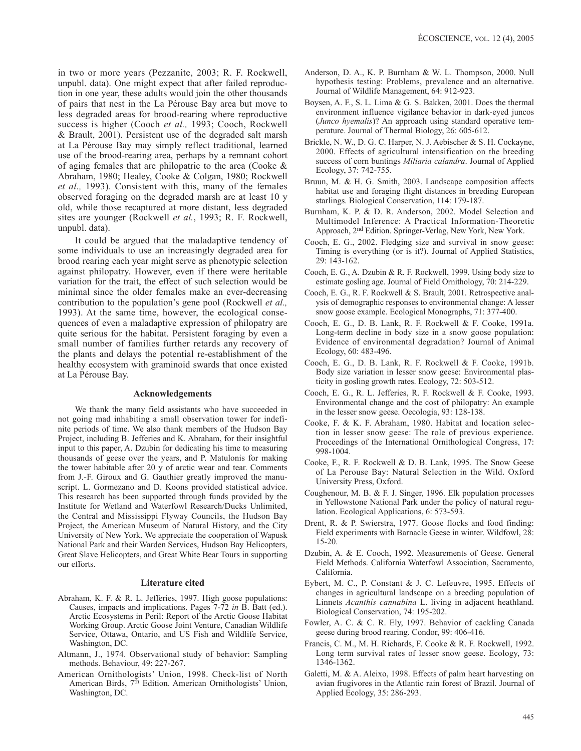in two or more years (Pezzanite, 2003; R. F. Rockwell, unpubl. data). One might expect that after failed reproduction in one year, these adults would join the other thousands of pairs that nest in the La Pérouse Bay area but move to less degraded areas for brood-rearing where reproductive success is higher (Cooch *et al.,* 1993; Cooch, Rockwell & Brault, 2001). Persistent use of the degraded salt marsh at La Pérouse Bay may simply reflect traditional, learned use of the brood-rearing area, perhaps by a remnant cohort of aging females that are philopatric to the area (Cooke & Abraham, 1980; Healey, Cooke & Colgan, 1980; Rockwell *et al.,* 1993). Consistent with this, many of the females observed foraging on the degraded marsh are at least 10 y old, while those recaptured at more distant, less degraded sites are younger (Rockwell *et al.*, 1993; R. F. Rockwell, unpubl. data).

It could be argued that the maladaptive tendency of some individuals to use an increasingly degraded area for brood rearing each year might serve as phenotypic selection against philopatry. However, even if there were heritable variation for the trait, the effect of such selection would be minimal since the older females make an ever-decreasing contribution to the population's gene pool (Rockwell *et al.,* 1993). At the same time, however, the ecological consequences of even a maladaptive expression of philopatry are quite serious for the habitat. Persistent foraging by even a small number of families further retards any recovery of the plants and delays the potential re-establishment of the healthy ecosystem with graminoid swards that once existed at La Pérouse Bay.

#### **Acknowledgements**

We thank the many field assistants who have succeeded in not going mad inhabiting a small observation tower for indefinite periods of time. We also thank members of the Hudson Bay Project, including B. Jefferies and K. Abraham, for their insightful input to this paper, A. Dzubin for dedicating his time to measuring thousands of geese over the years, and P. Matulonis for making the tower habitable after 20 y of arctic wear and tear. Comments from J.-F. Giroux and G. Gauthier greatly improved the manuscript. L. Gormezano and D. Koons provided statistical advice. This research has been supported through funds provided by the Institute for Wetland and Waterfowl Research/Ducks Unlimited, the Central and Mississippi Flyway Councils, the Hudson Bay Project, the American Museum of Natural History, and the City University of New York. We appreciate the cooperation of Wapusk National Park and their Warden Services, Hudson Bay Helicopters, Great Slave Helicopters, and Great White Bear Tours in supporting our efforts.

## **Literature cited**

- Abraham, K. F. & R. L. Jefferies, 1997. High goose populations: Causes, impacts and implications. Pages 7-72 *in* B. Batt (ed.). Arctic Ecosystems in Peril: Report of the Arctic Goose Habitat Working Group. Arctic Goose Joint Venture, Canadian Wildlife Service, Ottawa, Ontario, and US Fish and Wildlife Service, Washington, DC.
- Altmann, J., 1974. Observational study of behavior: Sampling methods. Behaviour, 49: 227-267.
- American Ornithologists' Union, 1998. Check-list of North American Birds, 7<sup>th</sup> Edition. American Ornithologists' Union, Washington, DC.
- Anderson, D. A., K. P. Burnham & W. L. Thompson, 2000. Null hypothesis testing: Problems, prevalence and an alternative. Journal of Wildlife Management, 64: 912-923.
- Boysen, A. F., S. L. Lima & G. S. Bakken, 2001. Does the thermal environment influence vigilance behavior in dark-eyed juncos (*Junco hyemalis*)? An approach using standard operative temperature. Journal of Thermal Biology, 26: 605-612.
- Brickle, N. W., D. G. C. Harper, N. J. Aebischer & S. H. Cockayne, 2000. Effects of agricultural intensification on the breeding success of corn buntings *Miliaria calandra*. Journal of Applied Ecology, 37: 742-755.
- Bruun, M. & H. G. Smith, 2003. Landscape composition affects habitat use and foraging flight distances in breeding European starlings. Biological Conservation, 114: 179-187.
- Burnham, K. P. & D. R. Anderson, 2002. Model Selection and Multimodel Inference: A Practical Information-Theoretic Approach, 2nd Edition. Springer-Verlag, New York, New York.
- Cooch, E. G., 2002. Fledging size and survival in snow geese: Timing is everything (or is it?). Journal of Applied Statistics, 29: 143-162.
- Cooch, E. G., A. Dzubin & R. F. Rockwell, 1999. Using body size to estimate gosling age. Journal of Field Ornithology, 70: 214-229.
- Cooch, E. G., R. F. Rockwell & S. Brault, 2001. Retrospective analysis of demographic responses to environmental change: A lesser snow goose example. Ecological Monographs, 71: 377-400.
- Cooch, E. G., D. B. Lank, R. F. Rockwell & F. Cooke, 1991a. Long-term decline in body size in a snow goose population: Evidence of environmental degradation? Journal of Animal Ecology, 60: 483-496.
- Cooch, E. G., D. B. Lank, R. F. Rockwell & F. Cooke, 1991b. Body size variation in lesser snow geese: Environmental plasticity in gosling growth rates. Ecology, 72: 503-512.
- Cooch, E. G., R. L. Jefferies, R. F. Rockwell & F. Cooke, 1993. Environmental change and the cost of philopatry: An example in the lesser snow geese. Oecologia, 93: 128-138.
- Cooke, F. & K. F. Abraham, 1980. Habitat and location selection in lesser snow geese: The role of previous experience. Proceedings of the International Ornithological Congress, 17: 998-1004.
- Cooke, F., R. F. Rockwell & D. B. Lank, 1995. The Snow Geese of La Perouse Bay: Natural Selection in the Wild. Oxford University Press, Oxford.
- Coughenour, M. B. & F. J. Singer, 1996. Elk population processes in Yellowstone National Park under the policy of natural regulation. Ecological Applications, 6: 573-593.
- Drent, R. & P. Swierstra, 1977. Goose flocks and food finding: Field experiments with Barnacle Geese in winter. Wildfowl, 28: 15-20.
- Dzubin, A. & E. Cooch, 1992. Measurements of Geese. General Field Methods. California Waterfowl Association, Sacramento, California.
- Eybert, M. C., P. Constant & J. C. Lefeuvre, 1995. Effects of changes in agricultural landscape on a breeding population of Linnets *Acanthis cannabina* L. living in adjacent heathland. Biological Conservation, 74: 195-202.
- Fowler, A. C. & C. R. Ely, 1997. Behavior of cackling Canada geese during brood rearing. Condor, 99: 406-416.
- Francis, C. M., M. H. Richards, F. Cooke & R. F. Rockwell, 1992. Long term survival rates of lesser snow geese. Ecology, 73: 1346-1362.
- Galetti, M. & A. Aleixo, 1998. Effects of palm heart harvesting on avian frugivores in the Atlantic rain forest of Brazil. Journal of Applied Ecology, 35: 286-293.